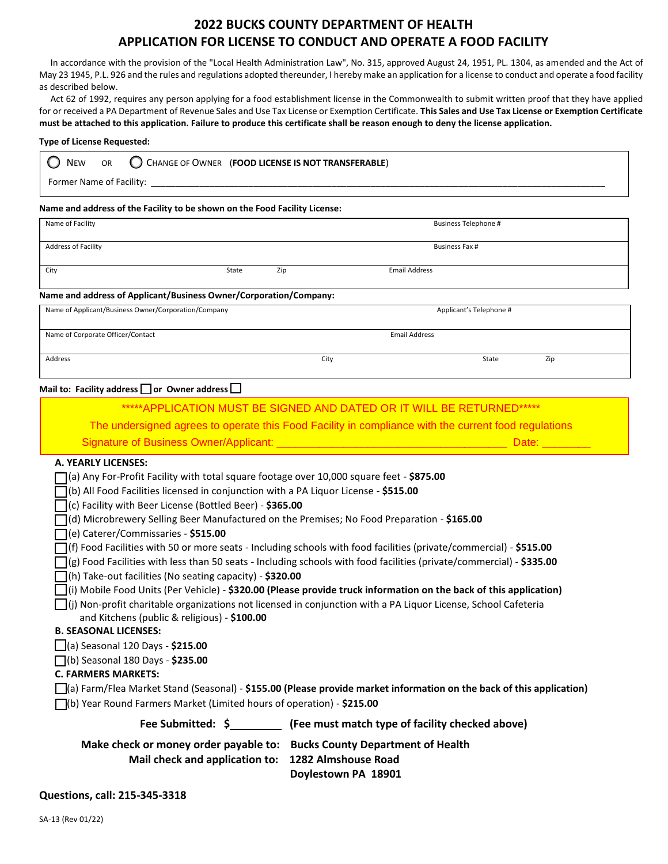# **2022 BUCKS COUNTY DEPARTMENT OF HEALTH APPLICATION FOR LICENSE TO CONDUCT AND OPERATE A FOOD FACILITY**

 In accordance with the provision of the "Local Health Administration Law", No. 315, approved August 24, 1951, PL. 1304, as amended and the Act of May 23 1945, P.L. 926 and the rules and regulations adopted thereunder, I hereby make an application for a license to conduct and operate a food facility as described below.

 Act 62 of 1992, requires any person applying for a food establishment license in the Commonwealth to submit written proof that they have applied for or received a PA Department of Revenue Sales and Use Tax License or Exemption Certificate. **This Sales and Use Tax License or Exemption Certificate must be attached to this application. Failure to produce this certificate shall be reason enough to deny the license application.**

#### **Type of License Requested:**

| <b>NEW</b>               | <b>OR</b> |  | CHANGE OF OWNER (FOOD LICENSE IS NOT TRANSFERABLE) |  |  |  |
|--------------------------|-----------|--|----------------------------------------------------|--|--|--|
| Former Name of Facility: |           |  |                                                    |  |  |  |

### **Name and address of the Facility to be shown on the Food Facility License:**

| Name of Facility                                                  |       |     | <b>Business Telephone #</b> |  |  |
|-------------------------------------------------------------------|-------|-----|-----------------------------|--|--|
| <b>Address of Facility</b>                                        |       |     | Business Fax #              |  |  |
| City                                                              | State | Zip | <b>Email Address</b>        |  |  |
| Name and address of Applicant/Business Owner/Corporation/Company: |       |     |                             |  |  |
| Name of Applicant/Business Owner/Corporation/Company              |       |     | Applicant's Telephone #     |  |  |
| Name of Corporate Officer/Contact                                 |       |     | <b>Email Address</b>        |  |  |

Address and the control of the control of the control of the control of the control of the control of the control of the control of the control of the control of the control of the control of the control of the control of

Mail to: Facility address **□** or Owner address □

| *****APPLICATION MUST BE SIGNED AND DATED OR IT WILL BE RETURNED*****                                                                                                                                                                                                                                                                                                                                                                                                                                                                                                                                                                                                                                                                                   |                                                                                                                                                                                                                                                                                                                                                                                                                                                                                                                                                                                                                                           |  |  |  |  |
|---------------------------------------------------------------------------------------------------------------------------------------------------------------------------------------------------------------------------------------------------------------------------------------------------------------------------------------------------------------------------------------------------------------------------------------------------------------------------------------------------------------------------------------------------------------------------------------------------------------------------------------------------------------------------------------------------------------------------------------------------------|-------------------------------------------------------------------------------------------------------------------------------------------------------------------------------------------------------------------------------------------------------------------------------------------------------------------------------------------------------------------------------------------------------------------------------------------------------------------------------------------------------------------------------------------------------------------------------------------------------------------------------------------|--|--|--|--|
| The undersigned agrees to operate this Food Facility in compliance with the current food regulations                                                                                                                                                                                                                                                                                                                                                                                                                                                                                                                                                                                                                                                    |                                                                                                                                                                                                                                                                                                                                                                                                                                                                                                                                                                                                                                           |  |  |  |  |
|                                                                                                                                                                                                                                                                                                                                                                                                                                                                                                                                                                                                                                                                                                                                                         | Date: <b>Date:</b>                                                                                                                                                                                                                                                                                                                                                                                                                                                                                                                                                                                                                        |  |  |  |  |
| <b>A. YEARLY LICENSES:</b><br>(a) Any For-Profit Facility with total square footage over 10,000 square feet - \$875.00<br>(b) All Food Facilities licensed in conjunction with a PA Liquor License - \$515.00<br>(c) Facility with Beer License (Bottled Beer) - \$365.00<br>(d) Microbrewery Selling Beer Manufactured on the Premises; No Food Preparation - \$165.00<br>(e) Caterer/Commissaries - \$515.00<br>$\Box$ (h) Take-out facilities (No seating capacity) - \$320.00<br>and Kitchens (public & religious) - \$100.00<br><b>B. SEASONAL LICENSES:</b><br>(a) Seasonal 120 Days - \$215.00<br>$\Box$ (b) Seasonal 180 Days - \$235.00<br><b>C. FARMERS MARKETS:</b><br>[6] Year Round Farmers Market (Limited hours of operation) - \$215.00 | (f) Food Facilities with 50 or more seats - Including schools with food facilities (private/commercial) - $$515.00$<br>$\bigcap$ (g) Food Facilities with less than 50 seats - Including schools with food facilities (private/commercial) - \$335.00<br>$\Box$ (i) Mobile Food Units (Per Vehicle) - \$320.00 (Please provide truck information on the back of this application)<br>$\Box$ (j) Non-profit charitable organizations not licensed in conjunction with a PA Liquor License, School Cafeteria<br>$\Box$ (a) Farm/Flea Market Stand (Seasonal) - \$155.00 (Please provide market information on the back of this application) |  |  |  |  |
|                                                                                                                                                                                                                                                                                                                                                                                                                                                                                                                                                                                                                                                                                                                                                         | Fee Submitted: \$ (Fee must match type of facility checked above)                                                                                                                                                                                                                                                                                                                                                                                                                                                                                                                                                                         |  |  |  |  |
| Make check or money order payable to: Bucks County Department of Health<br>Mail check and application to:                                                                                                                                                                                                                                                                                                                                                                                                                                                                                                                                                                                                                                               | 1282 Almshouse Road<br>Doylestown PA 18901                                                                                                                                                                                                                                                                                                                                                                                                                                                                                                                                                                                                |  |  |  |  |